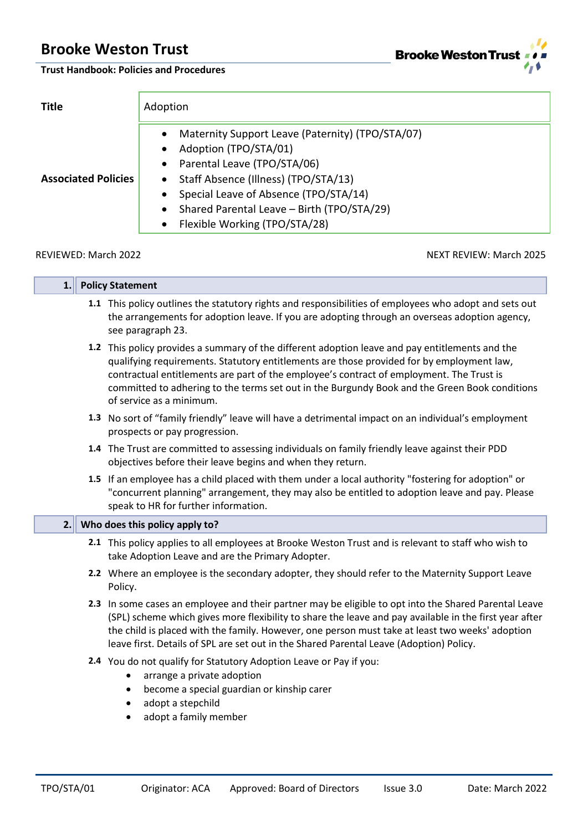

**Trust Handbook: Policies and Procedures**

| <b>Title</b>               | Adoption                                                                                                                                                                                                                                                                                                                                                 |  |  |  |  |
|----------------------------|----------------------------------------------------------------------------------------------------------------------------------------------------------------------------------------------------------------------------------------------------------------------------------------------------------------------------------------------------------|--|--|--|--|
| <b>Associated Policies</b> | Maternity Support Leave (Paternity) (TPO/STA/07)<br>$\bullet$<br>Adoption (TPO/STA/01)<br>$\bullet$<br>• Parental Leave (TPO/STA/06)<br>Staff Absence (Illness) (TPO/STA/13)<br>$\bullet$<br>Special Leave of Absence (TPO/STA/14)<br>$\bullet$<br>Shared Parental Leave - Birth (TPO/STA/29)<br>$\bullet$<br>Flexible Working (TPO/STA/28)<br>$\bullet$ |  |  |  |  |

п

REVIEWED: March 2022 2008 NEXT REVIEW: March 2025

Ĥ.

| 1.1 | <b>Policy Statement</b>                                                                                                                                                                                                                                                                                                                                                                                               |  |  |  |
|-----|-----------------------------------------------------------------------------------------------------------------------------------------------------------------------------------------------------------------------------------------------------------------------------------------------------------------------------------------------------------------------------------------------------------------------|--|--|--|
|     | 1.1 This policy outlines the statutory rights and responsibilities of employees who adopt and sets out<br>the arrangements for adoption leave. If you are adopting through an overseas adoption agency,<br>see paragraph 23.                                                                                                                                                                                          |  |  |  |
|     | 1.2 This policy provides a summary of the different adoption leave and pay entitlements and the<br>qualifying requirements. Statutory entitlements are those provided for by employment law,<br>contractual entitlements are part of the employee's contract of employment. The Trust is<br>committed to adhering to the terms set out in the Burgundy Book and the Green Book conditions<br>of service as a minimum. |  |  |  |
|     | 1.3 No sort of "family friendly" leave will have a detrimental impact on an individual's employment<br>prospects or pay progression.                                                                                                                                                                                                                                                                                  |  |  |  |
|     | 1.4 The Trust are committed to assessing individuals on family friendly leave against their PDD<br>objectives before their leave begins and when they return.                                                                                                                                                                                                                                                         |  |  |  |
|     | 1.5 If an employee has a child placed with them under a local authority "fostering for adoption" or<br>"concurrent planning" arrangement, they may also be entitled to adoption leave and pay. Please<br>speak to HR for further information.                                                                                                                                                                         |  |  |  |
|     |                                                                                                                                                                                                                                                                                                                                                                                                                       |  |  |  |
| 2.  | Who does this policy apply to?                                                                                                                                                                                                                                                                                                                                                                                        |  |  |  |
|     | 2.1 This policy applies to all employees at Brooke Weston Trust and is relevant to staff who wish to<br>take Adoption Leave and are the Primary Adopter.                                                                                                                                                                                                                                                              |  |  |  |
|     | 2.2 Where an employee is the secondary adopter, they should refer to the Maternity Support Leave<br>Policy.                                                                                                                                                                                                                                                                                                           |  |  |  |
|     | 2.3 In some cases an employee and their partner may be eligible to opt into the Shared Parental Leave<br>(SPL) scheme which gives more flexibility to share the leave and pay available in the first year after<br>the child is placed with the family. However, one person must take at least two weeks' adoption<br>leave first. Details of SPL are set out in the Shared Parental Leave (Adoption) Policy.         |  |  |  |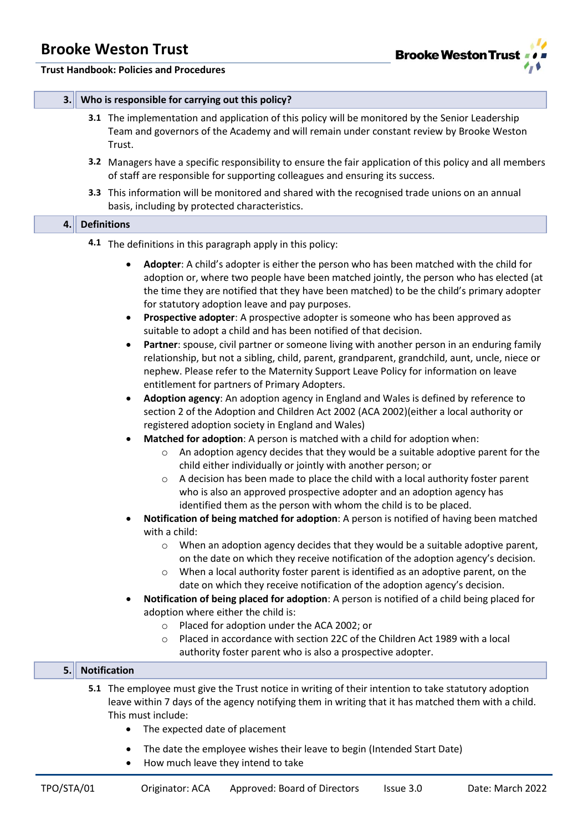

#### **Trust Handbook: Policies and Procedures**

#### **3. Who is responsible for carrying out this policy?**

- **3.1** The implementation and application of this policy will be monitored by the Senior Leadership Team and governors of the Academy and will remain under constant review by Brooke Weston Trust.
- **3.2** Managers have a specific responsibility to ensure the fair application of this policy and all members of staff are responsible for supporting colleagues and ensuring its success.
- **3.3** This information will be monitored and shared with the recognised trade unions on an annual basis, including by protected characteristics.

## **4. Definitions**

#### **4.1** The definitions in this paragraph apply in this policy:

- **Adopter**: A child's adopter is either the person who has been matched with the child for adoption or, where two people have been matched jointly, the person who has elected (at the time they are notified that they have been matched) to be the child's primary adopter for statutory adoption leave and pay purposes.
- **Prospective adopter**: A prospective adopter is someone who has been approved as suitable to adopt a child and has been notified of that decision.
- **Partner**: spouse, civil partner or someone living with another person in an enduring family relationship, but not a sibling, child, parent, grandparent, grandchild, aunt, uncle, niece or nephew. Please refer to the Maternity Support Leave Policy for information on leave entitlement for partners of Primary Adopters.
- **Adoption agency**: An adoption agency in England and Wales is defined by reference to section 2 of the Adoption and Children Act 2002 (ACA 2002)(either a local authority or registered adoption society in England and Wales)
- **Matched for adoption**: A person is matched with a child for adoption when:
	- o An adoption agency decides that they would be a suitable adoptive parent for the child either individually or jointly with another person; or
	- $\circ$  A decision has been made to place the child with a local authority foster parent who is also an approved prospective adopter and an adoption agency has identified them as the person with whom the child is to be placed.
- **Notification of being matched for adoption**: A person is notified of having been matched with a child:
	- $\circ$  When an adoption agency decides that they would be a suitable adoptive parent, on the date on which they receive notification of the adoption agency's decision.
	- $\circ$  When a local authority foster parent is identified as an adoptive parent, on the date on which they receive notification of the adoption agency's decision.
- **Notification of being placed for adoption**: A person is notified of a child being placed for adoption where either the child is:
	- o Placed for adoption under the ACA 2002; or
	- o Placed in accordance with section 22C of the Children Act 1989 with a local authority foster parent who is also a prospective adopter.

#### **5. Notification**

- **5.1** The employee must give the Trust notice in writing of their intention to take statutory adoption leave within 7 days of the agency notifying them in writing that it has matched them with a child. This must include:
	- The expected date of placement
	- The date the employee wishes their leave to begin (Intended Start Date)
	- How much leave they intend to take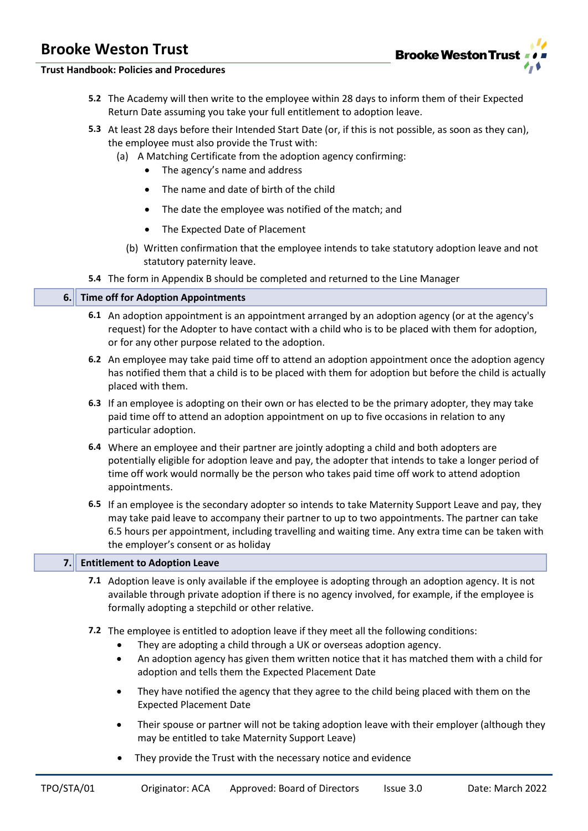

#### **Trust Handbook: Policies and Procedures**

- **5.2** The Academy will then write to the employee within 28 days to inform them of their Expected Return Date assuming you take your full entitlement to adoption leave.
- **5.3** At least 28 days before their Intended Start Date (or, if this is not possible, as soon as they can), the employee must also provide the Trust with:
	- (a) A Matching Certificate from the adoption agency confirming:
		- The agency's name and address
		- The name and date of birth of the child
		- The date the employee was notified of the match; and
		- The Expected Date of Placement
		- (b) Written confirmation that the employee intends to take statutory adoption leave and not statutory paternity leave.
- **5.4** The form in Appendix B should be completed and returned to the Line Manager

#### **6. Time off for Adoption Appointments**

- **6.1** An adoption appointment is an appointment arranged by an adoption agency (or at the agency's request) for the Adopter to have contact with a child who is to be placed with them for adoption, or for any other purpose related to the adoption.
- **6.2** An employee may take paid time off to attend an adoption appointment once the adoption agency has notified them that a child is to be placed with them for adoption but before the child is actually placed with them.
- **6.3** If an employee is adopting on their own or has elected to be the primary adopter, they may take paid time off to attend an adoption appointment on up to five occasions in relation to any particular adoption.
- **6.4** Where an employee and their partner are jointly adopting a child and both adopters are potentially eligible for adoption leave and pay, the adopter that intends to take a longer period of time off work would normally be the person who takes paid time off work to attend adoption appointments.
- **6.5** If an employee is the secondary adopter so intends to take Maternity Support Leave and pay, they may take paid leave to accompany their partner to up to two appointments. The partner can take 6.5 hours per appointment, including travelling and waiting time. Any extra time can be taken with the employer's consent or as holiday

#### **7. Entitlement to Adoption Leave**

- **7.1** Adoption leave is only available if the employee is adopting through an adoption agency. It is not available through private adoption if there is no agency involved, for example, if the employee is formally adopting a stepchild or other relative.
- **7.2** The employee is entitled to adoption leave if they meet all the following conditions:
	- They are adopting a child through a UK or overseas adoption agency.
	- An adoption agency has given them written notice that it has matched them with a child for adoption and tells them the Expected Placement Date
	- They have notified the agency that they agree to the child being placed with them on the Expected Placement Date
	- Their spouse or partner will not be taking adoption leave with their employer (although they may be entitled to take Maternity Support Leave)
	- They provide the Trust with the necessary notice and evidence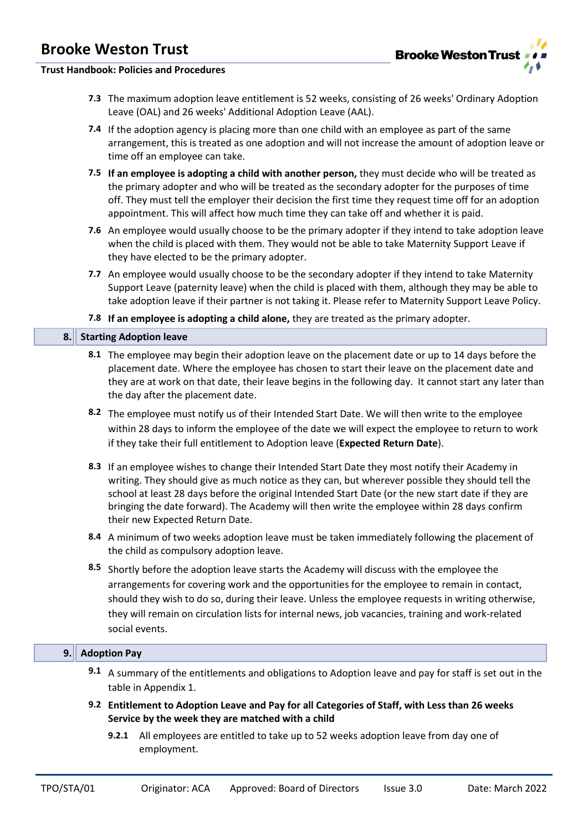

#### **Trust Handbook: Policies and Procedures**

- **7.3** The maximum adoption leave entitlement is 52 weeks, consisting of 26 weeks' Ordinary Adoption Leave (OAL) and 26 weeks' Additional Adoption Leave (AAL).
- **7.4** If the adoption agency is placing more than one child with an employee as part of the same arrangement, this is treated as one adoption and will not increase the amount of adoption leave or time off an employee can take.
- **7.5 If an employee is adopting a child with another person,** they must decide who will be treated as the primary adopter and who will be treated as the secondary adopter for the purposes of time off. They must tell the employer their decision the first time they request time off for an adoption appointment. This will affect how much time they can take off and whether it is paid.
- **7.6** An employee would usually choose to be the primary adopter if they intend to take adoption leave when the child is placed with them. They would not be able to take Maternity Support Leave if they have elected to be the primary adopter.
- **7.7** An employee would usually choose to be the secondary adopter if they intend to take Maternity Support Leave (paternity leave) when the child is placed with them, although they may be able to take adoption leave if their partner is not taking it. Please refer to Maternity Support Leave Policy.
- **7.8 If an employee is adopting a child alone,** they are treated as the primary adopter.

#### **8. Starting Adoption leave**

- **8.1** The employee may begin their adoption leave on the placement date or up to 14 days before the placement date. Where the employee has chosen to start their leave on the placement date and they are at work on that date, their leave begins in the following day. It cannot start any later than the day after the placement date.
- **8.2** The employee must notify us of their Intended Start Date. We will then write to the employee within 28 days to inform the employee of the date we will expect the employee to return to work if they take their full entitlement to Adoption leave (**Expected Return Date**).
- **8.3** If an employee wishes to change their Intended Start Date they most notify their Academy in writing. They should give as much notice as they can, but wherever possible they should tell the school at least 28 days before the original Intended Start Date (or the new start date if they are bringing the date forward). The Academy will then write the employee within 28 days confirm their new Expected Return Date.
- **8.4** A minimum of two weeks adoption leave must be taken immediately following the placement of the child as compulsory adoption leave.
- **8.5** Shortly before the adoption leave starts the Academy will discuss with the employee the arrangements for covering work and the opportunities for the employee to remain in contact, should they wish to do so, during their leave. Unless the employee requests in writing otherwise, they will remain on circulation lists for internal news, job vacancies, training and work-related social events.

#### **9. Adoption Pay**

- **9.1** A summary of the entitlements and obligations to Adoption leave and pay for staff is set out in the table in Appendix 1.
- **9.2 Entitlement to Adoption Leave and Pay for all Categories of Staff, with Less than 26 weeks Service by the week they are matched with a child**
	- **9.2.1** All employees are entitled to take up to 52 weeks adoption leave from day one of employment.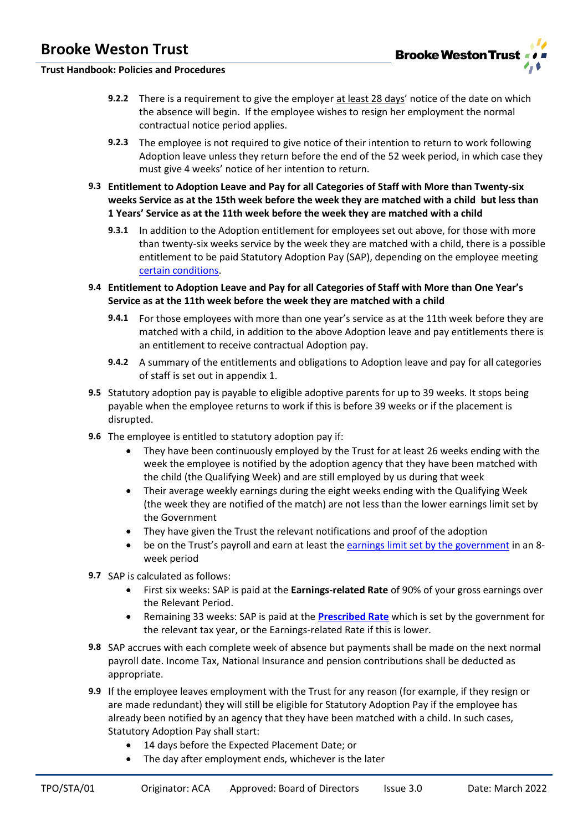### **Trust Handbook: Policies and Procedures**

- **9.2.2** There is a requirement to give the employer at least 28 days' notice of the date on which the absence will begin. If the employee wishes to resign her employment the normal contractual notice period applies.
- **9.2.3** The employee is not required to give notice of their intention to return to work following Adoption leave unless they return before the end of the 52 week period, in which case they must give 4 weeks' notice of her intention to return.
- **9.3 Entitlement to Adoption Leave and Pay for all Categories of Staff with More than Twenty-six weeks Service as at the 15th week before the week they are matched with a child but less than 1 Years' Service as at the 11th week before the week they are matched with a child**
	- **9.3.1** In addition to the Adoption entitlement for employees set out above, for those with more than twenty-six weeks service by the week they are matched with a child, there is a possible entitlement to be paid Statutory Adoption Pay (SAP), depending on the employee meeting [certain conditions.](https://www.gov.uk/adoption-pay-leave/eligibility)
- **9.4 Entitlement to Adoption Leave and Pay for all Categories of Staff with More than One Year's Service as at the 11th week before the week they are matched with a child**
	- **9.4.1** For those employees with more than one year's service as at the 11th week before they are matched with a child, in addition to the above Adoption leave and pay entitlements there is an entitlement to receive contractual Adoption pay.
	- **9.4.2** A summary of the entitlements and obligations to Adoption leave and pay for all categories of staff is set out in appendix 1.
- **9.5** Statutory adoption pay is payable to eligible adoptive parents for up to 39 weeks. It stops being payable when the employee returns to work if this is before 39 weeks or if the placement is disrupted.
- **9.6** The employee is entitled to statutory adoption pay if:
	- They have been continuously employed by the Trust for at least 26 weeks ending with the week the employee is notified by the adoption agency that they have been matched with the child (the Qualifying Week) and are still employed by us during that week
	- Their average weekly earnings during the eight weeks ending with the Qualifying Week (the week they are notified of the match) are not less than the lower earnings limit set by the Government
	- They have given the Trust the relevant notifications and proof of the adoption
	- be on the Trust's payroll and earn at least th[e earnings limit set by the government](https://www.gov.uk/adoption-pay-leave/eligibility) in an 8 week period
- **9.7** SAP is calculated as follows:
	- First six weeks: SAP is paid at the **Earnings-related Rate** of 90% of your gross earnings over the Relevant Period.
	- Remaining 33 weeks: SAP is paid at the **[Prescribed Rate](https://www.gov.uk/adoption-pay-leave/pay)** which is set by the government for the relevant tax year, or the Earnings-related Rate if this is lower.
- **9.8** SAP accrues with each complete week of absence but payments shall be made on the next normal payroll date. Income Tax, National Insurance and pension contributions shall be deducted as appropriate.
- **9.9** If the employee leaves employment with the Trust for any reason (for example, if they resign or are made redundant) they will still be eligible for Statutory Adoption Pay if the employee has already been notified by an agency that they have been matched with a child. In such cases, Statutory Adoption Pay shall start:
	- 14 days before the Expected Placement Date; or
	- The day after employment ends, whichever is the later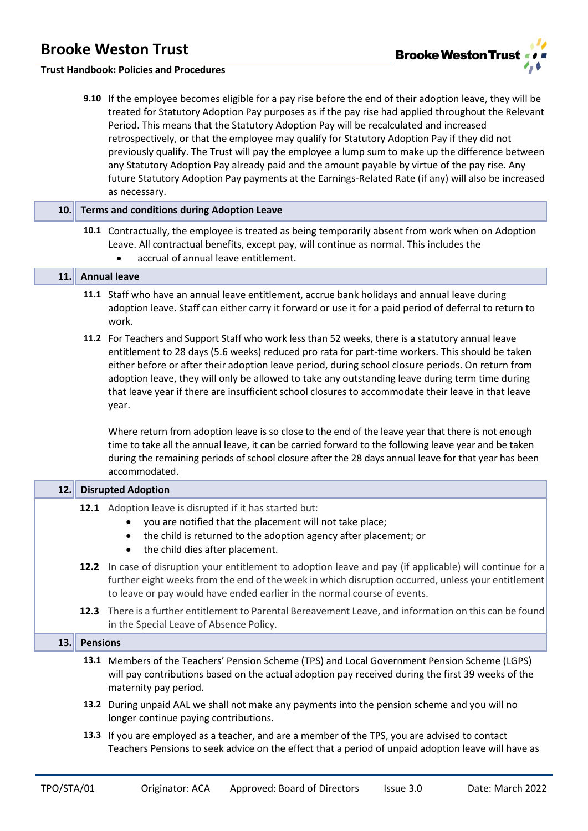

#### **Trust Handbook: Policies and Procedures**

**9.10** If the employee becomes eligible for a pay rise before the end of their adoption leave, they will be treated for Statutory Adoption Pay purposes as if the pay rise had applied throughout the Relevant Period. This means that the Statutory Adoption Pay will be recalculated and increased retrospectively, or that the employee may qualify for Statutory Adoption Pay if they did not previously qualify. The Trust will pay the employee a lump sum to make up the difference between any Statutory Adoption Pay already paid and the amount payable by virtue of the pay rise. Any future Statutory Adoption Pay payments at the Earnings-Related Rate (if any) will also be increased as necessary.

#### **10. Terms and conditions during Adoption Leave**

**10.1** Contractually, the employee is treated as being temporarily absent from work when on Adoption Leave. All contractual benefits, except pay, will continue as normal. This includes the • accrual of annual leave entitlement.

#### **11. Annual leave**

- **11.1** Staff who have an annual leave entitlement, accrue bank holidays and annual leave during adoption leave. Staff can either carry it forward or use it for a paid period of deferral to return to work.
- **11.2** For Teachers and Support Staff who work less than 52 weeks, there is a statutory annual leave entitlement to 28 days (5.6 weeks) reduced pro rata for part-time workers. This should be taken either before or after their adoption leave period, during school closure periods. On return from adoption leave, they will only be allowed to take any outstanding leave during term time during that leave year if there are insufficient school closures to accommodate their leave in that leave year.

Where return from adoption leave is so close to the end of the leave year that there is not enough time to take all the annual leave, it can be carried forward to the following leave year and be taken during the remaining periods of school closure after the 28 days annual leave for that year has been accommodated.

| 12. | <b>Disrupted Adoption</b>                                                                                                                                                                                                                                                                   |  |  |  |  |  |  |
|-----|---------------------------------------------------------------------------------------------------------------------------------------------------------------------------------------------------------------------------------------------------------------------------------------------|--|--|--|--|--|--|
|     | 12.1 Adoption leave is disrupted if it has started but:<br>you are notified that the placement will not take place;<br>the child is returned to the adoption agency after placement; or<br>the child dies after placement.                                                                  |  |  |  |  |  |  |
|     | 12.2 In case of disruption your entitlement to adoption leave and pay (if applicable) will continue for a<br>further eight weeks from the end of the week in which disruption occurred, unless your entitlement<br>to leave or pay would have ended earlier in the normal course of events. |  |  |  |  |  |  |
|     | 12.3 There is a further entitlement to Parental Bereavement Leave, and information on this can be found<br>in the Special Leave of Absence Policy.                                                                                                                                          |  |  |  |  |  |  |
| 13. | <b>Pensions</b>                                                                                                                                                                                                                                                                             |  |  |  |  |  |  |
|     | 13.1 Members of the Teachers' Pension Scheme (TPS) and Local Government Pension Scheme (LGPS)<br>will pay contributions based on the actual adoption pay received during the first 39 weeks of the<br>maternity pay period.                                                                 |  |  |  |  |  |  |
|     | 13.2 During unpaid AAL we shall not make any payments into the pension scheme and you will no<br>longer continue paying contributions.                                                                                                                                                      |  |  |  |  |  |  |
|     | 13.3 If you are employed as a teacher, and are a member of the TPS, you are advised to contact<br>Teachers Pensions to seek advice on the effect that a period of unpaid adoption leave will have as                                                                                        |  |  |  |  |  |  |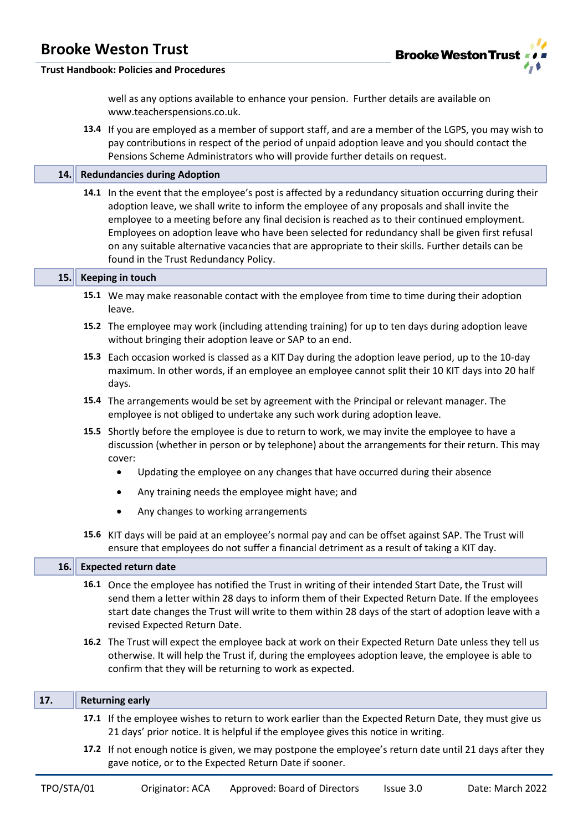

#### **Trust Handbook: Policies and Procedures**

well as any options available to enhance your pension. Further details are available on www.teacherspensions.co.uk.

**13.4** If you are employed as a member of support staff, and are a member of the LGPS, you may wish to pay contributions in respect of the period of unpaid adoption leave and you should contact the Pensions Scheme Administrators who will provide further details on request.

#### **14. Redundancies during Adoption**

**14.1** In the event that the employee's post is affected by a redundancy situation occurring during their adoption leave, we shall write to inform the employee of any proposals and shall invite the employee to a meeting before any final decision is reached as to their continued employment. Employees on adoption leave who have been selected for redundancy shall be given first refusal on any suitable alternative vacancies that are appropriate to their skills. Further details can be found in the Trust Redundancy Policy.

#### **15. Keeping in touch**

- **15.1** We may make reasonable contact with the employee from time to time during their adoption leave.
- **15.2** The employee may work (including attending training) for up to ten days during adoption leave without bringing their adoption leave or SAP to an end.
- **15.3** Each occasion worked is classed as a KIT Day during the adoption leave period, up to the 10-day maximum. In other words, if an employee an employee cannot split their 10 KIT days into 20 half days.
- **15.4** The arrangements would be set by agreement with the Principal or relevant manager. The employee is not obliged to undertake any such work during adoption leave.
- **15.5** Shortly before the employee is due to return to work, we may invite the employee to have a discussion (whether in person or by telephone) about the arrangements for their return. This may cover:
	- Updating the employee on any changes that have occurred during their absence
	- Any training needs the employee might have; and
	- Any changes to working arrangements
- **15.6** KIT days will be paid at an employee's normal pay and can be offset against SAP. The Trust will ensure that employees do not suffer a financial detriment as a result of taking a KIT day.

#### **16. Expected return date**

- **16.1** Once the employee has notified the Trust in writing of their intended Start Date, the Trust will send them a letter within 28 days to inform them of their Expected Return Date. If the employees start date changes the Trust will write to them within 28 days of the start of adoption leave with a revised Expected Return Date.
- **16.2** The Trust will expect the employee back at work on their Expected Return Date unless they tell us otherwise. It will help the Trust if, during the employees adoption leave, the employee is able to confirm that they will be returning to work as expected.

#### **17. Returning early**

- **17.1** If the employee wishes to return to work earlier than the Expected Return Date, they must give us 21 days' prior notice. It is helpful if the employee gives this notice in writing.
- **17.2** If not enough notice is given, we may postpone the employee's return date until 21 days after they gave notice, or to the Expected Return Date if sooner.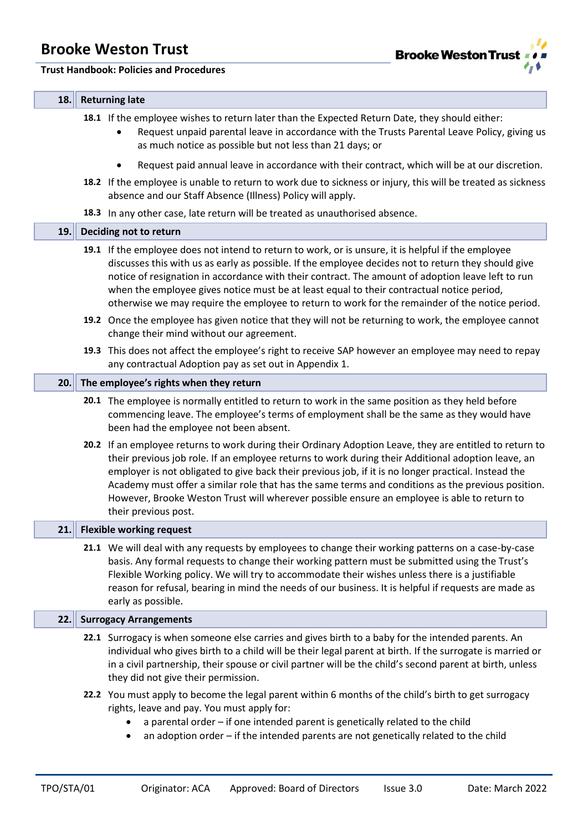#### **Trust Handbook: Policies and Procedures**



#### **18. Returning late**

**18.1** If the employee wishes to return later than the Expected Return Date, they should either:

- Request unpaid parental leave in accordance with the Trusts Parental Leave Policy, giving us as much notice as possible but not less than 21 days; or
- Request paid annual leave in accordance with their contract, which will be at our discretion.
- **18.2** If the employee is unable to return to work due to sickness or injury, this will be treated as sickness absence and our Staff Absence (Illness) Policy will apply.
- **18.3** In any other case, late return will be treated as unauthorised absence.

#### **19. Deciding not to return**

- **19.1** If the employee does not intend to return to work, or is unsure, it is helpful if the employee discusses this with us as early as possible. If the employee decides not to return they should give notice of resignation in accordance with their contract. The amount of adoption leave left to run when the employee gives notice must be at least equal to their contractual notice period, otherwise we may require the employee to return to work for the remainder of the notice period.
- **19.2** Once the employee has given notice that they will not be returning to work, the employee cannot change their mind without our agreement.
- **19.3** This does not affect the employee's right to receive SAP however an employee may need to repay any contractual Adoption pay as set out in Appendix 1.

#### **20. The employee's rights when they return**

- **20.1** The employee is normally entitled to return to work in the same position as they held before commencing leave. The employee's terms of employment shall be the same as they would have been had the employee not been absent.
- **20.2** If an employee returns to work during their Ordinary Adoption Leave, they are entitled to return to their previous job role. If an employee returns to work during their Additional adoption leave, an employer is not obligated to give back their previous job, if it is no longer practical. Instead the Academy must offer a similar role that has the same terms and conditions as the previous position. However, Brooke Weston Trust will wherever possible ensure an employee is able to return to their previous post.

#### **21. Flexible working request**

**21.1** We will deal with any requests by employees to change their working patterns on a case-by-case basis. Any formal requests to change their working pattern must be submitted using the Trust's Flexible Working policy. We will try to accommodate their wishes unless there is a justifiable reason for refusal, bearing in mind the needs of our business. It is helpful if requests are made as early as possible.

#### **22. Surrogacy Arrangements**

- **22.1** Surrogacy is when someone else carries and gives birth to a baby for the intended parents. An individual who gives birth to a child will be their legal parent at birth. If the surrogate is married or in a civil partnership, their spouse or civil partner will be the child's second parent at birth, unless they did not give their permission.
- **22.2** You must apply to become the legal parent within 6 months of the child's birth to get surrogacy rights, leave and pay. You must apply for:
	- a parental order if one intended parent is genetically related to the child
	- an adoption order if the intended parents are not genetically related to the child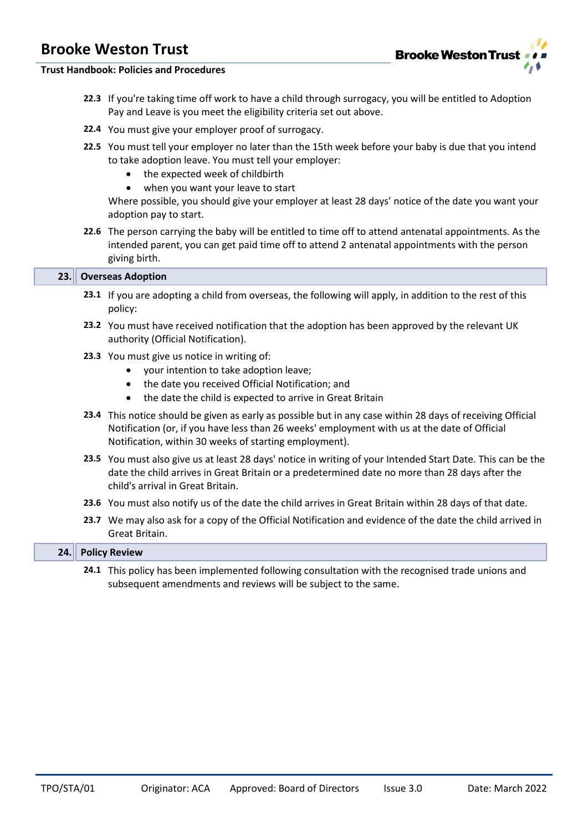

#### **Trust Handbook: Policies and Procedures**

- **22.3** If you're taking time off work to have a child through surrogacy, you will be entitled to Adoption Pay and Leave is you meet the eligibility criteria set out above.
- **22.4** You must give your employer proof of surrogacy.
- **22.5** You must tell your employer no later than the 15th week before your baby is due that you intend to take adoption leave. You must tell your employer:
	- the expected week of childbirth
	- when you want your leave to start

Where possible, you should give your employer at least 28 days' notice of the date you want your adoption pay to start.

**22.6** The person carrying the baby will be entitled to time off to attend antenatal appointments. As the intended parent, you can get paid time off to attend 2 antenatal appointments with the person giving birth.

#### **23. Overseas Adoption**

- **23.1** If you are adopting a child from overseas, the following will apply, in addition to the rest of this policy:
- **23.2** You must have received notification that the adoption has been approved by the relevant UK authority (Official Notification).
- **23.3** You must give us notice in writing of:
	- your intention to take adoption leave;
	- the date you received Official Notification; and
	- the date the child is expected to arrive in Great Britain
- **23.4** This notice should be given as early as possible but in any case within 28 days of receiving Official Notification (or, if you have less than 26 weeks' employment with us at the date of Official Notification, within 30 weeks of starting employment).
- **23.5** You must also give us at least 28 days' notice in writing of your Intended Start Date. This can be the date the child arrives in Great Britain or a predetermined date no more than 28 days after the child's arrival in Great Britain.
- **23.6** You must also notify us of the date the child arrives in Great Britain within 28 days of that date.
- **23.7** We may also ask for a copy of the Official Notification and evidence of the date the child arrived in Great Britain.

| 74<br>$\sim$ $\sim$ $\sim$ $\sim$ $\sim$ | <b>Policy Review</b><br><b>Review</b><br>$\sim$ |                                     |  |   |  |    |  |  |
|------------------------------------------|-------------------------------------------------|-------------------------------------|--|---|--|----|--|--|
|                                          | _ _ _                                           | the contract of the contract of the |  | . |  | __ |  |  |

**24.1** This policy has been implemented following consultation with the recognised trade unions and subsequent amendments and reviews will be subject to the same.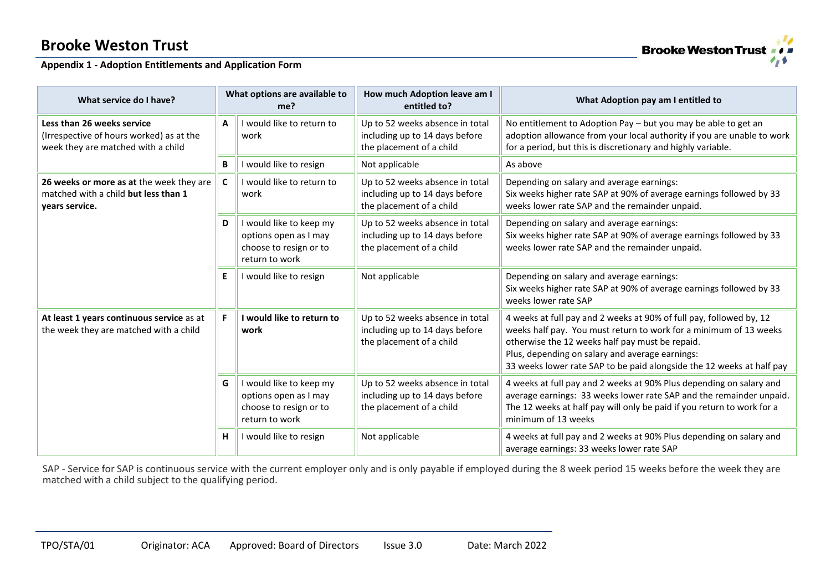# **Brooke Weston Trust**

### **Appendix 1 - Adoption Entitlements and Application Form**

| What service do I have?                                                                                      |                                                                                                                                         | What options are available to<br>me?                                                         | How much Adoption leave am I<br>entitled to?                                                                                                                       | What Adoption pay am I entitled to                                                                                                                                                                                                                                                                                      |
|--------------------------------------------------------------------------------------------------------------|-----------------------------------------------------------------------------------------------------------------------------------------|----------------------------------------------------------------------------------------------|--------------------------------------------------------------------------------------------------------------------------------------------------------------------|-------------------------------------------------------------------------------------------------------------------------------------------------------------------------------------------------------------------------------------------------------------------------------------------------------------------------|
| Less than 26 weeks service<br>(Irrespective of hours worked) as at the<br>week they are matched with a child |                                                                                                                                         | I would like to return to<br>work                                                            | Up to 52 weeks absence in total<br>including up to 14 days before<br>the placement of a child                                                                      | No entitlement to Adoption Pay - but you may be able to get an<br>adoption allowance from your local authority if you are unable to work<br>for a period, but this is discretionary and highly variable.                                                                                                                |
|                                                                                                              | B                                                                                                                                       | I would like to resign                                                                       | Not applicable                                                                                                                                                     | As above                                                                                                                                                                                                                                                                                                                |
| 26 weeks or more as at the week they are<br>matched with a child but less than 1<br>years service.           | Up to 52 weeks absence in total<br>C<br>I would like to return to<br>including up to 14 days before<br>work<br>the placement of a child |                                                                                              | Depending on salary and average earnings:<br>Six weeks higher rate SAP at 90% of average earnings followed by 33<br>weeks lower rate SAP and the remainder unpaid. |                                                                                                                                                                                                                                                                                                                         |
|                                                                                                              |                                                                                                                                         | I would like to keep my<br>options open as I may<br>choose to resign or to<br>return to work | Up to 52 weeks absence in total<br>including up to 14 days before<br>the placement of a child                                                                      | Depending on salary and average earnings:<br>Six weeks higher rate SAP at 90% of average earnings followed by 33<br>weeks lower rate SAP and the remainder unpaid.                                                                                                                                                      |
|                                                                                                              | E                                                                                                                                       | I would like to resign                                                                       | Not applicable                                                                                                                                                     | Depending on salary and average earnings:<br>Six weeks higher rate SAP at 90% of average earnings followed by 33<br>weeks lower rate SAP                                                                                                                                                                                |
| At least 1 years continuous service as at<br>the week they are matched with a child                          | F.                                                                                                                                      | I would like to return to<br>work                                                            | Up to 52 weeks absence in total<br>including up to 14 days before<br>the placement of a child                                                                      | 4 weeks at full pay and 2 weeks at 90% of full pay, followed by, 12<br>weeks half pay. You must return to work for a minimum of 13 weeks<br>otherwise the 12 weeks half pay must be repaid.<br>Plus, depending on salary and average earnings:<br>33 weeks lower rate SAP to be paid alongside the 12 weeks at half pay |
|                                                                                                              |                                                                                                                                         | I would like to keep my<br>options open as I may<br>choose to resign or to<br>return to work | Up to 52 weeks absence in total<br>including up to 14 days before<br>the placement of a child                                                                      | 4 weeks at full pay and 2 weeks at 90% Plus depending on salary and<br>average earnings: 33 weeks lower rate SAP and the remainder unpaid.<br>The 12 weeks at half pay will only be paid if you return to work for a<br>minimum of 13 weeks                                                                             |
|                                                                                                              |                                                                                                                                         | I would like to resign                                                                       | Not applicable                                                                                                                                                     | 4 weeks at full pay and 2 weeks at 90% Plus depending on salary and<br>average earnings: 33 weeks lower rate SAP                                                                                                                                                                                                        |

SAP - Service for SAP is continuous service with the current employer only and is only payable if employed during the 8 week period 15 weeks before the week they are matched with a child subject to the qualifying period.